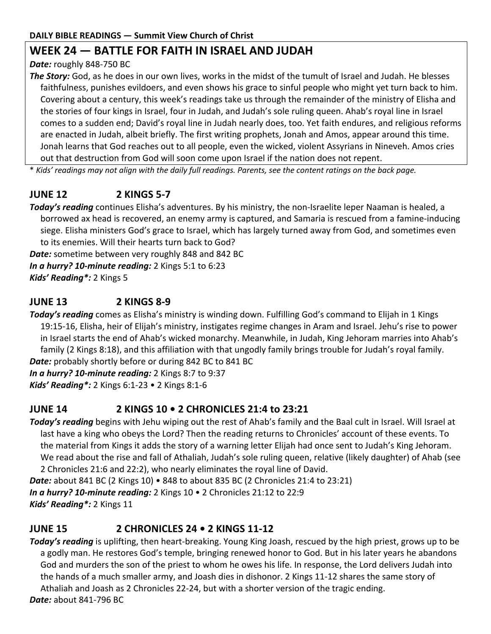# **WEEK 24 — BATTLE FOR FAITH IN ISRAEL AND JUDAH**

*Date:* roughly 848-750 BC

*The Story:* God, as he does in our own lives, works in the midst of the tumult of Israel and Judah. He blesses faithfulness, punishes evildoers, and even shows his grace to sinful people who might yet turn back to him. Covering about a century, this week's readings take us through the remainder of the ministry of Elisha and the stories of four kings in Israel, four in Judah, and Judah's sole ruling queen. Ahab's royal line in Israel comes to a sudden end; David's royal line in Judah nearly does, too. Yet faith endures, and religious reforms are enacted in Judah, albeit briefly. The first writing prophets, Jonah and Amos, appear around this time. Jonah learns that God reaches out to all people, even the wicked, violent Assyrians in Nineveh. Amos cries out that destruction from God will soon come upon Israel if the nation does not repent.

\* *Kids' readings may not align with the daily full readings. Parents, see the content ratings on the back page.*

# **JUNE 12 2 KINGS 5-7**

*Today's reading* continues Elisha's adventures. By his ministry, the non-Israelite leper Naaman is healed, a borrowed ax head is recovered, an enemy army is captured, and Samaria is rescued from a famine-inducing siege. Elisha ministers God's grace to Israel, which has largely turned away from God, and sometimes even to its enemies. Will their hearts turn back to God?

*Date:* sometime between very roughly 848 and 842 BC

*In a hurry? 10-minute reading:* 2 Kings 5:1 to 6:23

*Kids' Reading\*:* 2 Kings 5

# **JUNE 13 2 KINGS 8-9**

*Today's reading* comes as Elisha's ministry is winding down. Fulfilling God's command to Elijah in 1 Kings 19:15-16, Elisha, heir of Elijah's ministry, instigates regime changes in Aram and Israel. Jehu's rise to power in Israel starts the end of Ahab's wicked monarchy. Meanwhile, in Judah, King Jehoram marries into Ahab's family (2 Kings 8:18), and this affiliation with that ungodly family brings trouble for Judah's royal family. *Date:* probably shortly before or during 842 BC to 841 BC

*In a hurry? 10-minute reading:* 2 Kings 8:7 to 9:37 *Kids' Reading\*:* 2 Kings 6:1-23 • 2 Kings 8:1-6

# **JUNE 14 2 KINGS 10 • 2 CHRONICLES 21:4 to 23:21**

*Today's reading* begins with Jehu wiping out the rest of Ahab's family and the Baal cult in Israel. Will Israel at last have a king who obeys the Lord? Then the reading returns to Chronicles' account of these events. To the material from Kings it adds the story of a warning letter Elijah had once sent to Judah's King Jehoram. We read about the rise and fall of Athaliah, Judah's sole ruling queen, relative (likely daughter) of Ahab (see 2 Chronicles 21:6 and 22:2), who nearly eliminates the royal line of David.

*Date:* about 841 BC (2 Kings 10) • 848 to about 835 BC (2 Chronicles 21:4 to 23:21)

*In a hurry? 10-minute reading:* 2 Kings 10 • 2 Chronicles 21:12 to 22:9 *Kids' Reading\*:* 2 Kings 11

# **JUNE 15 2 CHRONICLES 24 • 2 KINGS 11-12**

*Today's reading* is uplifting, then heart-breaking. Young King Joash, rescued by the high priest, grows up to be a godly man. He restores God's temple, bringing renewed honor to God. But in his later years he abandons God and murders the son of the priest to whom he owes his life. In response, the Lord delivers Judah into the hands of a much smaller army, and Joash dies in dishonor. 2 Kings 11-12 shares the same story of Athaliah and Joash as 2 Chronicles 22-24, but with a shorter version of the tragic ending. *Date:* about 841-796 BC